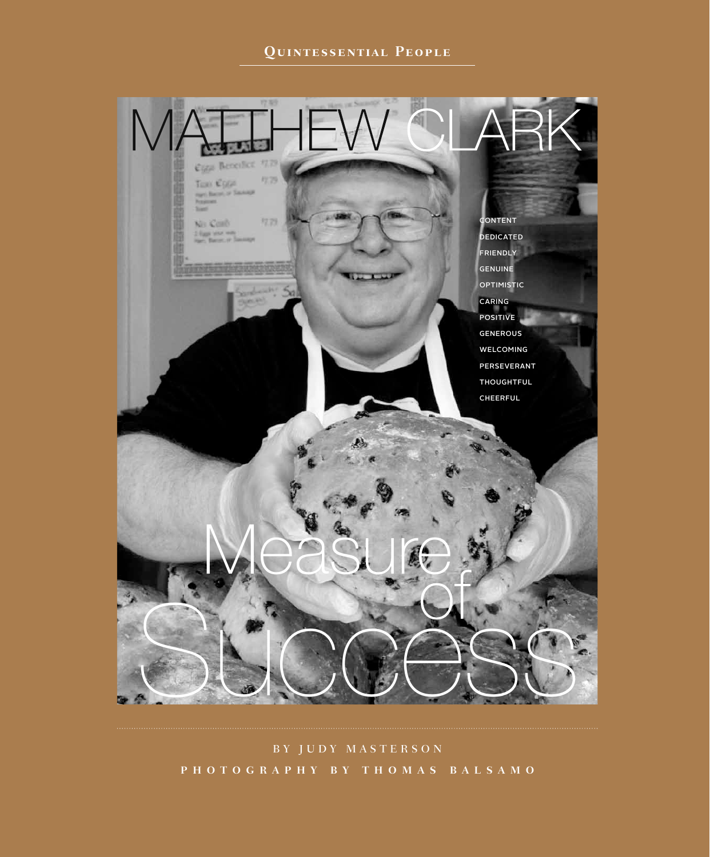# **Quintessential People**



BY JUDY MASTERSON **P H O T O G R A P H Y B Y T H O M A S B A L S A M O**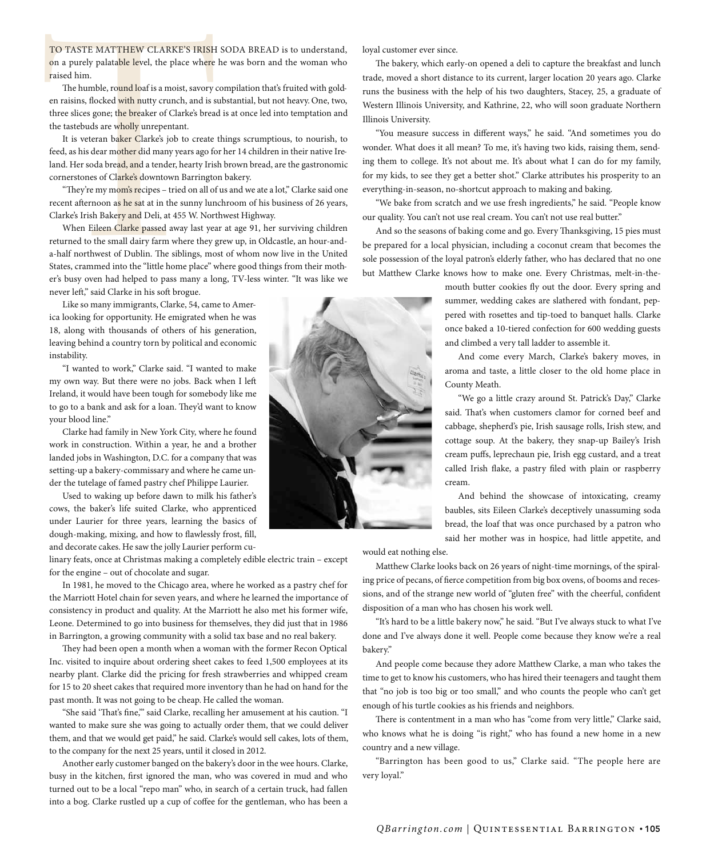TO TASTE MATTHEW CLARKE'S IRISH SODA BREAD is to understand, on a purely palatable level, the place where he was born and the woman who raised him.

The humble, round loaf is a moist, savory compilation that's fruited with golden raisins, flocked with nutty crunch, and is substantial, but not heavy. One, two, three slices gone; the breaker of Clarke's bread is at once led into temptation and the tastebuds are wholly unrepentant.

It is veteran baker Clarke's job to create things scrumptious, to nourish, to feed, as his dear mother did many years ago for her 14 children in their native Ireland. Her soda bread, and a tender, hearty Irish brown bread, are the gastronomic cornerstones of Clarke's downtown Barrington bakery.

"They're my mom's recipes – tried on all of us and we ate a lot," Clarke said one recent afternoon as he sat at in the sunny lunchroom of his business of 26 years, Clarke's Irish Bakery and Deli, at 455 W. Northwest Highway.

TO TASTE MATTHEW CLARKE'S IRISH<br>on a purely palatable level, the place where<br>raised him.<br>The humble, round loaf is a moist, savory en<br>raisins, flocked with nutty crunch, and is s<br>three slices gone; the breaker of Clarke's When Eileen Clarke passed away last year at age 91, her surviving children returned to the small dairy farm where they grew up, in Oldcastle, an hour-anda-half northwest of Dublin. The siblings, most of whom now live in the United States, crammed into the "little home place" where good things from their mother's busy oven had helped to pass many a long, TV-less winter. "It was like we never left," said Clarke in his soft brogue.

Like so many immigrants, Clarke, 54, came to America looking for opportunity. He emigrated when he was 18, along with thousands of others of his generation, leaving behind a country torn by political and economic instability.

"I wanted to work," Clarke said. "I wanted to make my own way. But there were no jobs. Back when I left Ireland, it would have been tough for somebody like me to go to a bank and ask for a loan. They'd want to know your blood line."

Clarke had family in New York City, where he found work in construction. Within a year, he and a brother landed jobs in Washington, D.C. for a company that was setting-up a bakery-commissary and where he came under the tutelage of famed pastry chef Philippe Laurier.

Used to waking up before dawn to milk his father's cows, the baker's life suited Clarke, who apprenticed under Laurier for three years, learning the basics of dough-making, mixing, and how to flawlessly frost, fill, and decorate cakes. He saw the jolly Laurier perform cu-

linary feats, once at Christmas making a completely edible electric train – except for the engine – out of chocolate and sugar.

In 1981, he moved to the Chicago area, where he worked as a pastry chef for the Marriott Hotel chain for seven years, and where he learned the importance of consistency in product and quality. At the Marriott he also met his former wife, Leone. Determined to go into business for themselves, they did just that in 1986 in Barrington, a growing community with a solid tax base and no real bakery.

They had been open a month when a woman with the former Recon Optical Inc. visited to inquire about ordering sheet cakes to feed 1,500 employees at its nearby plant. Clarke did the pricing for fresh strawberries and whipped cream for 15 to 20 sheet cakes that required more inventory than he had on hand for the past month. It was not going to be cheap. He called the woman.

"She said 'That's fine," said Clarke, recalling her amusement at his caution. "I wanted to make sure she was going to actually order them, that we could deliver them, and that we would get paid," he said. Clarke's would sell cakes, lots of them, to the company for the next 25 years, until it closed in 2012.

Another early customer banged on the bakery's door in the wee hours. Clarke, busy in the kitchen, first ignored the man, who was covered in mud and who turned out to be a local "repo man" who, in search of a certain truck, had fallen into a bog. Clarke rustled up a cup of coffee for the gentleman, who has been a

loyal customer ever since.

The bakery, which early-on opened a deli to capture the breakfast and lunch trade, moved a short distance to its current, larger location 20 years ago. Clarke runs the business with the help of his two daughters, Stacey, 25, a graduate of Western Illinois University, and Kathrine, 22, who will soon graduate Northern Illinois University.

"You measure success in different ways," he said. "And sometimes you do wonder. What does it all mean? To me, it's having two kids, raising them, sending them to college. It's not about me. It's about what I can do for my family, for my kids, to see they get a better shot." Clarke attributes his prosperity to an everything-in-season, no-shortcut approach to making and baking.

"We bake from scratch and we use fresh ingredients," he said. "People know our quality. You can't not use real cream. You can't not use real butter."

And so the seasons of baking come and go. Every Thanksgiving, 15 pies must be prepared for a local physician, including a coconut cream that becomes the sole possession of the loyal patron's elderly father, who has declared that no one but Matthew Clarke knows how to make one. Every Christmas, melt-in-the-

> mouth butter cookies fly out the door. Every spring and summer, wedding cakes are slathered with fondant, peppered with rosettes and tip-toed to banquet halls. Clarke once baked a 10-tiered confection for 600 wedding guests and climbed a very tall ladder to assemble it.

> And come every March, Clarke's bakery moves, in aroma and taste, a little closer to the old home place in County Meath.

> "We go a little crazy around St. Patrick's Day," Clarke said. That's when customers clamor for corned beef and cabbage, shepherd's pie, Irish sausage rolls, Irish stew, and cottage soup. At the bakery, they snap-up Bailey's Irish cream puffs, leprechaun pie, Irish egg custard, and a treat called Irish flake, a pastry filed with plain or raspberry cream.

> And behind the showcase of intoxicating, creamy baubles, sits Eileen Clarke's deceptively unassuming soda bread, the loaf that was once purchased by a patron who said her mother was in hospice, had little appetite, and

would eat nothing else.

Matthew Clarke looks back on 26 years of night-time mornings, of the spiraling price of pecans, of fierce competition from big box ovens, of booms and recessions, and of the strange new world of "gluten free" with the cheerful, confident disposition of a man who has chosen his work well.

"It's hard to be a little bakery now," he said. "But I've always stuck to what I've done and I've always done it well. People come because they know we're a real bakery."

And people come because they adore Matthew Clarke, a man who takes the time to get to know his customers, who has hired their teenagers and taught them that "no job is too big or too small," and who counts the people who can't get enough of his turtle cookies as his friends and neighbors.

There is contentment in a man who has "come from very little," Clarke said, who knows what he is doing "is right," who has found a new home in a new country and a new village.

"Barrington has been good to us," Clarke said. "The people here are very loyal."

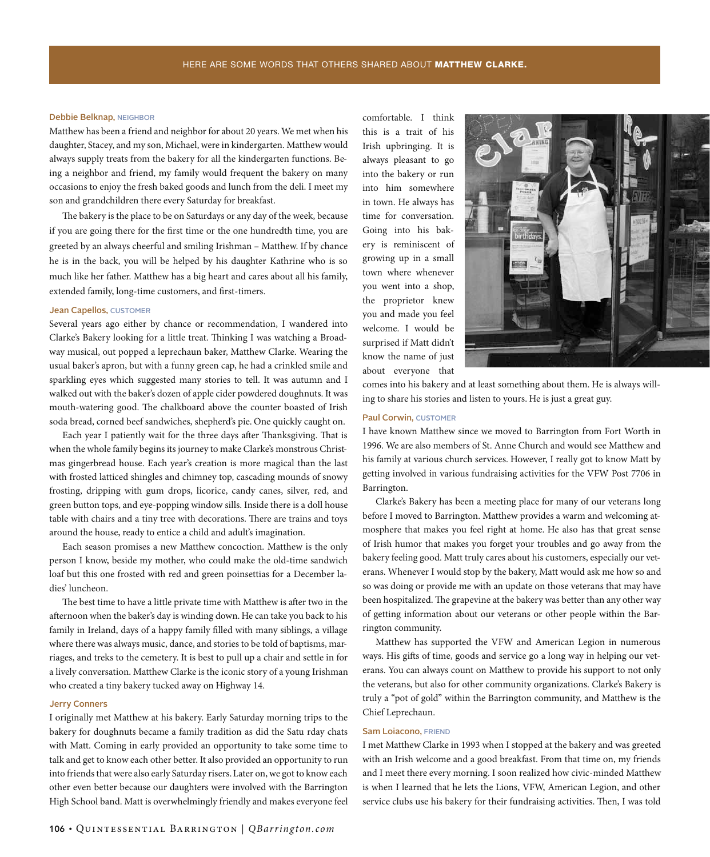#### Debbie Belknap, NEIGHBOR

Matthew has been a friend and neighbor for about 20 years. We met when his daughter, Stacey, and my son, Michael, were in kindergarten. Matthew would always supply treats from the bakery for all the kindergarten functions. Being a neighbor and friend, my family would frequent the bakery on many occasions to enjoy the fresh baked goods and lunch from the deli. I meet my son and grandchildren there every Saturday for breakfast.

The bakery is the place to be on Saturdays or any day of the week, because if you are going there for the first time or the one hundredth time, you are greeted by an always cheerful and smiling Irishman – Matthew. If by chance he is in the back, you will be helped by his daughter Kathrine who is so much like her father. Matthew has a big heart and cares about all his family, extended family, long-time customers, and first-timers.

#### Jean Capellos, CUSTOMER

Several years ago either by chance or recommendation, I wandered into Clarke's Bakery looking for a little treat. Thinking I was watching a Broadway musical, out popped a leprechaun baker, Matthew Clarke. Wearing the usual baker's apron, but with a funny green cap, he had a crinkled smile and sparkling eyes which suggested many stories to tell. It was autumn and I walked out with the baker's dozen of apple cider powdered doughnuts. It was mouth-watering good. The chalkboard above the counter boasted of Irish soda bread, corned beef sandwiches, shepherd's pie. One quickly caught on.

Each year I patiently wait for the three days after Thanksgiving. That is when the whole family begins its journey to make Clarke's monstrous Christmas gingerbread house. Each year's creation is more magical than the last with frosted latticed shingles and chimney top, cascading mounds of snowy frosting, dripping with gum drops, licorice, candy canes, silver, red, and green button tops, and eye-popping window sills. Inside there is a doll house table with chairs and a tiny tree with decorations. There are trains and toys around the house, ready to entice a child and adult's imagination.

Each season promises a new Matthew concoction. Matthew is the only person I know, beside my mother, who could make the old-time sandwich loaf but this one frosted with red and green poinsettias for a December ladies' luncheon.

The best time to have a little private time with Matthew is after two in the afternoon when the baker's day is winding down. He can take you back to his family in Ireland, days of a happy family filled with many siblings, a village where there was always music, dance, and stories to be told of baptisms, marriages, and treks to the cemetery. It is best to pull up a chair and settle in for a lively conversation. Matthew Clarke is the iconic story of a young Irishman who created a tiny bakery tucked away on Highway 14.

#### Jerry Conners

I originally met Matthew at his bakery. Early Saturday morning trips to the bakery for doughnuts became a family tradition as did the Satu rday chats with Matt. Coming in early provided an opportunity to take some time to talk and get to know each other better. It also provided an opportunity to run into friends that were also early Saturday risers. Later on, we got to know each other even better because our daughters were involved with the Barrington High School band. Matt is overwhelmingly friendly and makes everyone feel

comfortable. I think this is a trait of his Irish upbringing. It is always pleasant to go into the bakery or run into him somewhere in town. He always has time for conversation. Going into his bakery is reminiscent of growing up in a small town where whenever you went into a shop, the proprietor knew you and made you feel welcome. I would be surprised if Matt didn't know the name of just about everyone that



comes into his bakery and at least something about them. He is always willing to share his stories and listen to yours. He is just a great guy.

## Paul Corwin, CUSTOMER

I have known Matthew since we moved to Barrington from Fort Worth in 1996. We are also members of St. Anne Church and would see Matthew and his family at various church services. However, I really got to know Matt by getting involved in various fundraising activities for the VFW Post 7706 in Barrington.

Clarke's Bakery has been a meeting place for many of our veterans long before I moved to Barrington. Matthew provides a warm and welcoming atmosphere that makes you feel right at home. He also has that great sense of Irish humor that makes you forget your troubles and go away from the bakery feeling good. Matt truly cares about his customers, especially our veterans. Whenever I would stop by the bakery, Matt would ask me how so and so was doing or provide me with an update on those veterans that may have been hospitalized. The grapevine at the bakery was better than any other way of getting information about our veterans or other people within the Barrington community.

Matthew has supported the VFW and American Legion in numerous ways. His gifts of time, goods and service go a long way in helping our veterans. You can always count on Matthew to provide his support to not only the veterans, but also for other community organizations. Clarke's Bakery is truly a "pot of gold" within the Barrington community, and Matthew is the Chief Leprechaun.

#### Sam Loiacono, FRIEND

I met Matthew Clarke in 1993 when I stopped at the bakery and was greeted with an Irish welcome and a good breakfast. From that time on, my friends and I meet there every morning. I soon realized how civic-minded Matthew is when I learned that he lets the Lions, VFW, American Legion, and other service clubs use his bakery for their fundraising activities. Then, I was told